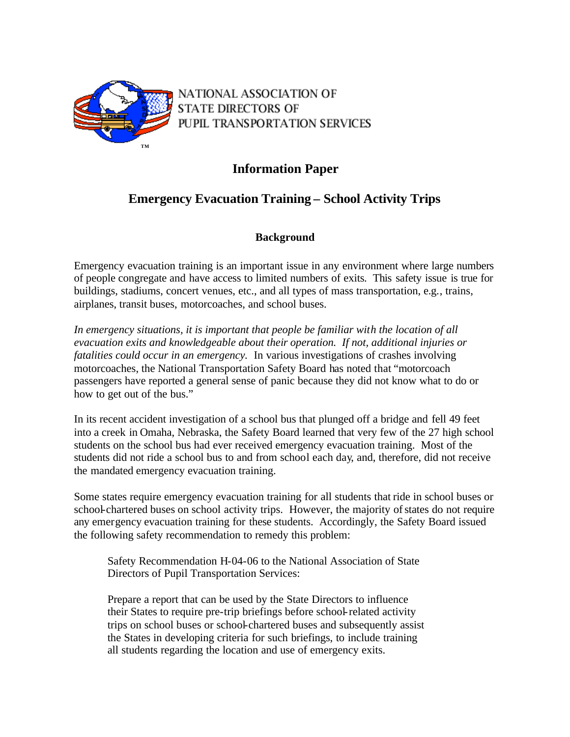

NATIONAL ASSOCIATION OF **STATE DIRECTORS OF** PUPIL TRANSPORTATION SERVICES

# **Information Paper**

# **Emergency Evacuation Training – School Activity Trips**

## **Background**

Emergency evacuation training is an important issue in any environment where large numbers of people congregate and have access to limited numbers of exits. This safety issue is true for buildings, stadiums, concert venues, etc., and all types of mass transportation, e.g., trains, airplanes, transit buses, motorcoaches, and school buses.

In emergency situations, it is important that people be familiar with the location of all *evacuation exits and knowledgeable about their operation. If not, additional injuries or fatalities could occur in an emergency.* In various investigations of crashes involving motorcoaches, the National Transportation Safety Board has noted that "motorcoach passengers have reported a general sense of panic because they did not know what to do or how to get out of the bus."

In its recent accident investigation of a school bus that plunged off a bridge and fell 49 feet into a creek in Omaha, Nebraska, the Safety Board learned that very few of the 27 high school students on the school bus had ever received emergency evacuation training. Most of the students did not ride a school bus to and from school each day, and, therefore, did not receive the mandated emergency evacuation training.

Some states require emergency evacuation training for all students that ride in school buses or school-chartered buses on school activity trips. However, the majority of states do not require any emergency evacuation training for these students. Accordingly, the Safety Board issued the following safety recommendation to remedy this problem:

Safety Recommendation H-04-06 to the National Association of State Directors of Pupil Transportation Services:

Prepare a report that can be used by the State Directors to influence their States to require pre-trip briefings before school-related activity trips on school buses or school-chartered buses and subsequently assist the States in developing criteria for such briefings, to include training all students regarding the location and use of emergency exits.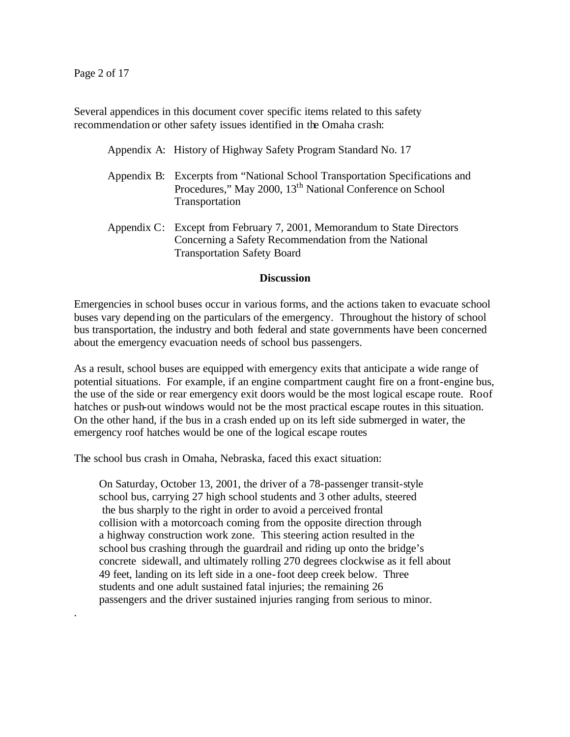.

Several appendices in this document cover specific items related to this safety recommendation or other safety issues identified in the Omaha crash:

Appendix A: History of Highway Safety Program Standard No. 17

- Appendix B: Excerpts from "National School Transportation Specifications and Procedures," May 2000, 13<sup>th</sup> National Conference on School Transportation
- Appendix C: Except from February 7, 2001, Memorandum to State Directors Concerning a Safety Recommendation from the National Transportation Safety Board

#### **Discussion**

Emergencies in school buses occur in various forms, and the actions taken to evacuate school buses vary depending on the particulars of the emergency. Throughout the history of school bus transportation, the industry and both federal and state governments have been concerned about the emergency evacuation needs of school bus passengers.

As a result, school buses are equipped with emergency exits that anticipate a wide range of potential situations. For example, if an engine compartment caught fire on a front-engine bus, the use of the side or rear emergency exit doors would be the most logical escape route. Roof hatches or push-out windows would not be the most practical escape routes in this situation. On the other hand, if the bus in a crash ended up on its left side submerged in water, the emergency roof hatches would be one of the logical escape routes

The school bus crash in Omaha, Nebraska, faced this exact situation:

On Saturday, October 13, 2001, the driver of a 78-passenger transit-style school bus, carrying 27 high school students and 3 other adults, steered the bus sharply to the right in order to avoid a perceived frontal collision with a motorcoach coming from the opposite direction through a highway construction work zone. This steering action resulted in the school bus crashing through the guardrail and riding up onto the bridge's concrete sidewall, and ultimately rolling 270 degrees clockwise as it fell about 49 feet, landing on its left side in a one-foot deep creek below. Three students and one adult sustained fatal injuries; the remaining 26 passengers and the driver sustained injuries ranging from serious to minor.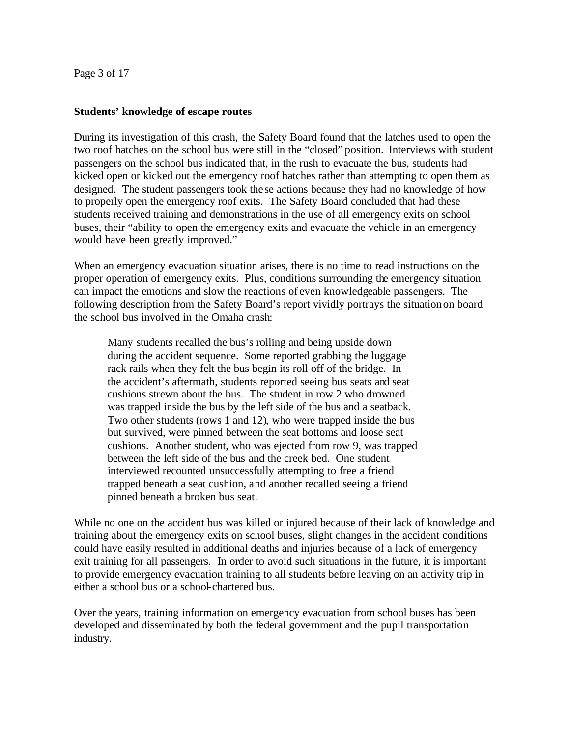Page 3 of 17

#### **Students' knowledge of escape routes**

During its investigation of this crash, the Safety Board found that the latches used to open the two roof hatches on the school bus were still in the "closed" position. Interviews with student passengers on the school bus indicated that, in the rush to evacuate the bus, students had kicked open or kicked out the emergency roof hatches rather than attempting to open them as designed. The student passengers took the se actions because they had no knowledge of how to properly open the emergency roof exits. The Safety Board concluded that had these students received training and demonstrations in the use of all emergency exits on school buses, their "ability to open the emergency exits and evacuate the vehicle in an emergency would have been greatly improved."

When an emergency evacuation situation arises, there is no time to read instructions on the proper operation of emergency exits. Plus, conditions surrounding the emergency situation can impact the emotions and slow the reactions of even knowledgeable passengers. The following description from the Safety Board's report vividly portrays the situation on board the school bus involved in the Omaha crash:

Many students recalled the bus's rolling and being upside down during the accident sequence. Some reported grabbing the luggage rack rails when they felt the bus begin its roll off of the bridge. In the accident's aftermath, students reported seeing bus seats and seat cushions strewn about the bus. The student in row 2 who drowned was trapped inside the bus by the left side of the bus and a seatback. Two other students (rows 1 and 12), who were trapped inside the bus but survived, were pinned between the seat bottoms and loose seat cushions. Another student, who was ejected from row 9, was trapped between the left side of the bus and the creek bed. One student interviewed recounted unsuccessfully attempting to free a friend trapped beneath a seat cushion, and another recalled seeing a friend pinned beneath a broken bus seat.

While no one on the accident bus was killed or injured because of their lack of knowledge and training about the emergency exits on school buses, slight changes in the accident conditions could have easily resulted in additional deaths and injuries because of a lack of emergency exit training for all passengers. In order to avoid such situations in the future, it is important to provide emergency evacuation training to all students before leaving on an activity trip in either a school bus or a school-chartered bus.

Over the years, training information on emergency evacuation from school buses has been developed and disseminated by both the federal government and the pupil transportation industry.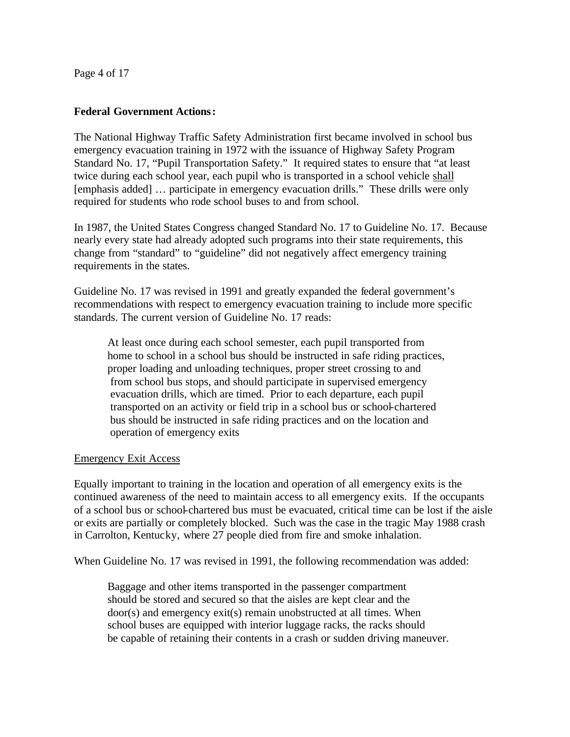Page 4 of 17

#### **Federal Government Actions:**

The National Highway Traffic Safety Administration first became involved in school bus emergency evacuation training in 1972 with the issuance of Highway Safety Program Standard No. 17, "Pupil Transportation Safety." It required states to ensure that "at least twice during each school year, each pupil who is transported in a school vehicle shall [emphasis added] … participate in emergency evacuation drills." These drills were only required for students who rode school buses to and from school.

In 1987, the United States Congress changed Standard No. 17 to Guideline No. 17. Because nearly every state had already adopted such programs into their state requirements, this change from "standard" to "guideline" did not negatively affect emergency training requirements in the states.

Guideline No. 17 was revised in 1991 and greatly expanded the federal government's recommendations with respect to emergency evacuation training to include more specific standards. The current version of Guideline No. 17 reads:

At least once during each school semester, each pupil transported from home to school in a school bus should be instructed in safe riding practices, proper loading and unloading techniques, proper street crossing to and from school bus stops, and should participate in supervised emergency evacuation drills, which are timed. Prior to each departure, each pupil transported on an activity or field trip in a school bus or school-chartered bus should be instructed in safe riding practices and on the location and operation of emergency exits

### Emergency Exit Access

Equally important to training in the location and operation of all emergency exits is the continued awareness of the need to maintain access to all emergency exits. If the occupants of a school bus or school-chartered bus must be evacuated, critical time can be lost if the aisle or exits are partially or completely blocked. Such was the case in the tragic May 1988 crash in Carrolton, Kentucky, where 27 people died from fire and smoke inhalation.

When Guideline No. 17 was revised in 1991, the following recommendation was added:

Baggage and other items transported in the passenger compartment should be stored and secured so that the aisles are kept clear and the door(s) and emergency exit(s) remain unobstructed at all times. When school buses are equipped with interior luggage racks, the racks should be capable of retaining their contents in a crash or sudden driving maneuver.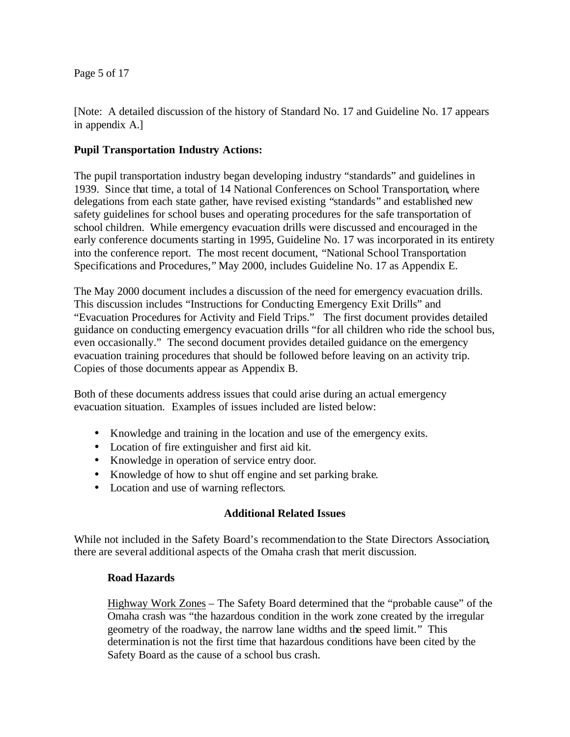Page 5 of 17

[Note: A detailed discussion of the history of Standard No. 17 and Guideline No. 17 appears in appendix A.]

### **Pupil Transportation Industry Actions:**

The pupil transportation industry began developing industry "standards" and guidelines in 1939. Since that time, a total of 14 National Conferences on School Transportation, where delegations from each state gather, have revised existing "standards" and established new safety guidelines for school buses and operating procedures for the safe transportation of school children. While emergency evacuation drills were discussed and encouraged in the early conference documents starting in 1995, Guideline No. 17 was incorporated in its entirety into the conference report. The most recent document, "National School Transportation Specifications and Procedures," May 2000, includes Guideline No. 17 as Appendix E.

The May 2000 document includes a discussion of the need for emergency evacuation drills. This discussion includes "Instructions for Conducting Emergency Exit Drills" and "Evacuation Procedures for Activity and Field Trips." The first document provides detailed guidance on conducting emergency evacuation drills "for all children who ride the school bus, even occasionally." The second document provides detailed guidance on the emergency evacuation training procedures that should be followed before leaving on an activity trip. Copies of those documents appear as Appendix B.

Both of these documents address issues that could arise during an actual emergency evacuation situation. Examples of issues included are listed below:

- Knowledge and training in the location and use of the emergency exits.
- Location of fire extinguisher and first aid kit.
- Knowledge in operation of service entry door.
- Knowledge of how to shut off engine and set parking brake.
- Location and use of warning reflectors.

## **Additional Related Issues**

While not included in the Safety Board's recommendation to the State Directors Association, there are several additional aspects of the Omaha crash that merit discussion.

### **Road Hazards**

Highway Work Zones – The Safety Board determined that the "probable cause" of the Omaha crash was "the hazardous condition in the work zone created by the irregular geometry of the roadway, the narrow lane widths and the speed limit." This determination is not the first time that hazardous conditions have been cited by the Safety Board as the cause of a school bus crash.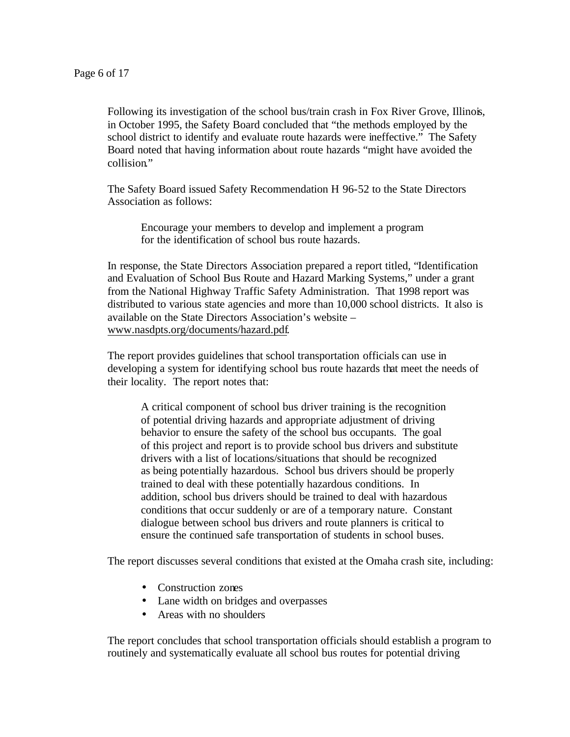Following its investigation of the school bus/train crash in Fox River Grove, Illinois, in October 1995, the Safety Board concluded that "the methods employed by the school district to identify and evaluate route hazards were ineffective." The Safety Board noted that having information about route hazards "might have avoided the collision."

The Safety Board issued Safety Recommendation H 96-52 to the State Directors Association as follows:

Encourage your members to develop and implement a program for the identification of school bus route hazards.

In response, the State Directors Association prepared a report titled, "Identification and Evaluation of School Bus Route and Hazard Marking Systems," under a grant from the National Highway Traffic Safety Administration. That 1998 report was distributed to various state agencies and more than 10,000 school districts. It also is available on the State Directors Association's website – www.nasdpts.org/documents/hazard.pdf.

The report provides guidelines that school transportation officials can use in developing a system for identifying school bus route hazards that meet the needs of their locality. The report notes that:

A critical component of school bus driver training is the recognition of potential driving hazards and appropriate adjustment of driving behavior to ensure the safety of the school bus occupants. The goal of this project and report is to provide school bus drivers and substitute drivers with a list of locations/situations that should be recognized as being potentially hazardous. School bus drivers should be properly trained to deal with these potentially hazardous conditions. In addition, school bus drivers should be trained to deal with hazardous conditions that occur suddenly or are of a temporary nature. Constant dialogue between school bus drivers and route planners is critical to ensure the continued safe transportation of students in school buses.

The report discusses several conditions that existed at the Omaha crash site, including:

- Construction zones
- Lane width on bridges and overpasses
- Areas with no shoulders

The report concludes that school transportation officials should establish a program to routinely and systematically evaluate all school bus routes for potential driving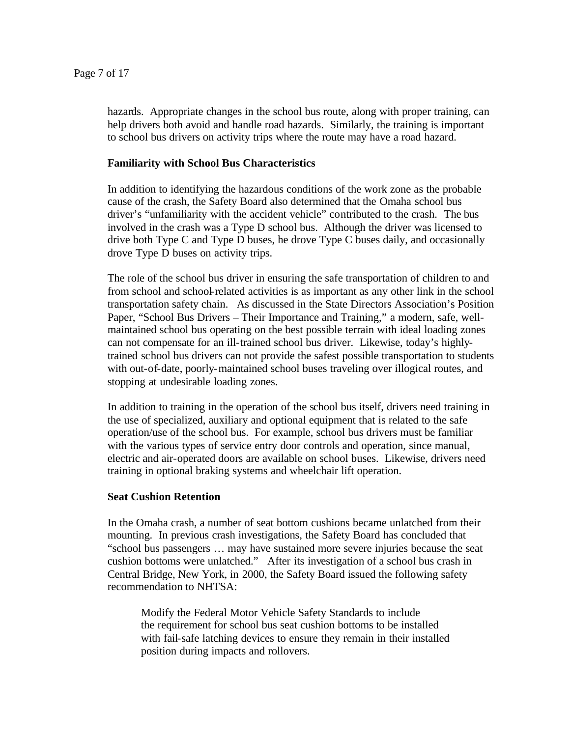hazards. Appropriate changes in the school bus route, along with proper training, can help drivers both avoid and handle road hazards. Similarly, the training is important to school bus drivers on activity trips where the route may have a road hazard.

### **Familiarity with School Bus Characteristics**

In addition to identifying the hazardous conditions of the work zone as the probable cause of the crash, the Safety Board also determined that the Omaha school bus driver's "unfamiliarity with the accident vehicle" contributed to the crash. The bus involved in the crash was a Type D school bus. Although the driver was licensed to drive both Type C and Type D buses, he drove Type C buses daily, and occasionally drove Type D buses on activity trips.

The role of the school bus driver in ensuring the safe transportation of children to and from school and school-related activities is as important as any other link in the school transportation safety chain. As discussed in the State Directors Association's Position Paper, "School Bus Drivers – Their Importance and Training," a modern, safe, wellmaintained school bus operating on the best possible terrain with ideal loading zones can not compensate for an ill-trained school bus driver. Likewise, today's highlytrained school bus drivers can not provide the safest possible transportation to students with out-of-date, poorly-maintained school buses traveling over illogical routes, and stopping at undesirable loading zones.

In addition to training in the operation of the school bus itself, drivers need training in the use of specialized, auxiliary and optional equipment that is related to the safe operation/use of the school bus. For example, school bus drivers must be familiar with the various types of service entry door controls and operation, since manual, electric and air-operated doors are available on school buses. Likewise, drivers need training in optional braking systems and wheelchair lift operation.

### **Seat Cushion Retention**

In the Omaha crash, a number of seat bottom cushions became unlatched from their mounting. In previous crash investigations, the Safety Board has concluded that "school bus passengers … may have sustained more severe injuries because the seat cushion bottoms were unlatched." After its investigation of a school bus crash in Central Bridge, New York, in 2000, the Safety Board issued the following safety recommendation to NHTSA:

Modify the Federal Motor Vehicle Safety Standards to include the requirement for school bus seat cushion bottoms to be installed with fail-safe latching devices to ensure they remain in their installed position during impacts and rollovers.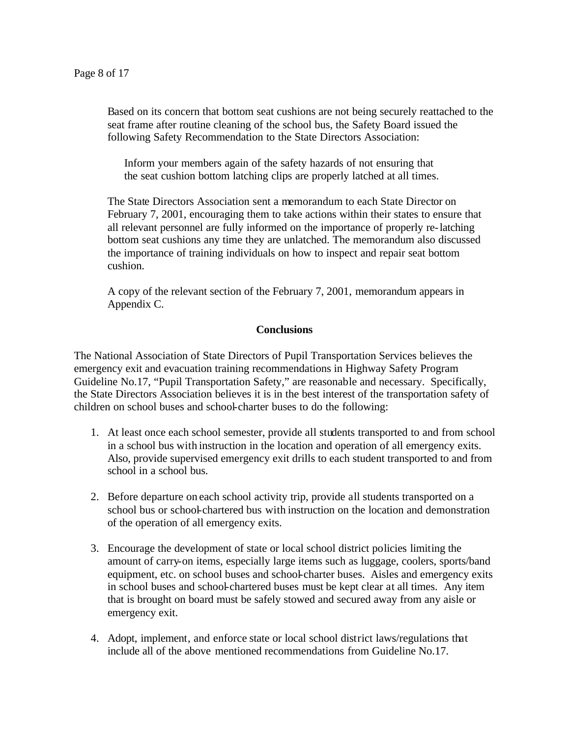Based on its concern that bottom seat cushions are not being securely reattached to the seat frame after routine cleaning of the school bus, the Safety Board issued the following Safety Recommendation to the State Directors Association:

Inform your members again of the safety hazards of not ensuring that the seat cushion bottom latching clips are properly latched at all times.

The State Directors Association sent a memorandum to each State Director on February 7, 2001, encouraging them to take actions within their states to ensure that all relevant personnel are fully informed on the importance of properly re-latching bottom seat cushions any time they are unlatched. The memorandum also discussed the importance of training individuals on how to inspect and repair seat bottom cushion.

A copy of the relevant section of the February 7, 2001, memorandum appears in Appendix C.

### **Conclusions**

The National Association of State Directors of Pupil Transportation Services believes the emergency exit and evacuation training recommendations in Highway Safety Program Guideline No.17, "Pupil Transportation Safety," are reasonable and necessary. Specifically, the State Directors Association believes it is in the best interest of the transportation safety of children on school buses and school-charter buses to do the following:

- 1. At least once each school semester, provide all students transported to and from school in a school bus with instruction in the location and operation of all emergency exits. Also, provide supervised emergency exit drills to each student transported to and from school in a school bus.
- 2. Before departure on each school activity trip, provide all students transported on a school bus or school-chartered bus with instruction on the location and demonstration of the operation of all emergency exits.
- 3. Encourage the development of state or local school district policies limiting the amount of carry-on items, especially large items such as luggage, coolers, sports/band equipment, etc. on school buses and school-charter buses. Aisles and emergency exits in school buses and school-chartered buses must be kept clear at all times. Any item that is brought on board must be safely stowed and secured away from any aisle or emergency exit.
- 4. Adopt, implement, and enforce state or local school district laws/regulations that include all of the above mentioned recommendations from Guideline No.17.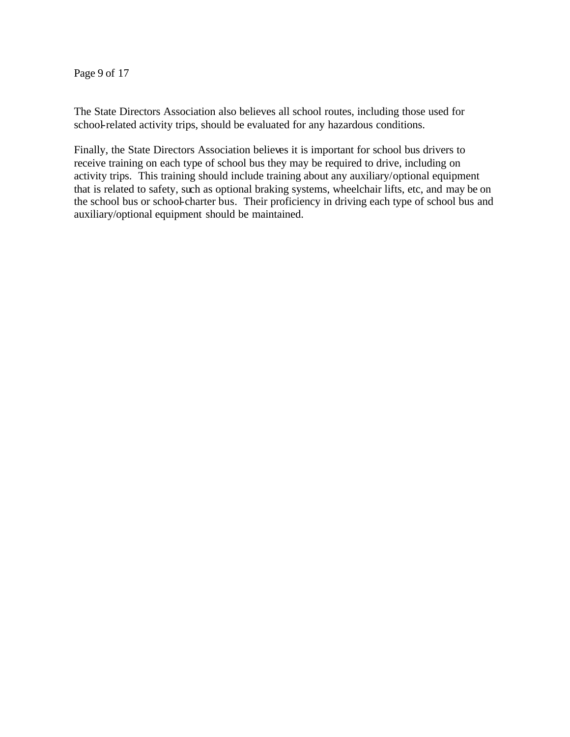Page 9 of 17

The State Directors Association also believes all school routes, including those used for school-related activity trips, should be evaluated for any hazardous conditions.

Finally, the State Directors Association believes it is important for school bus drivers to receive training on each type of school bus they may be required to drive, including on activity trips. This training should include training about any auxiliary/optional equipment that is related to safety, such as optional braking systems, wheelchair lifts, etc, and may be on the school bus or school-charter bus. Their proficiency in driving each type of school bus and auxiliary/optional equipment should be maintained.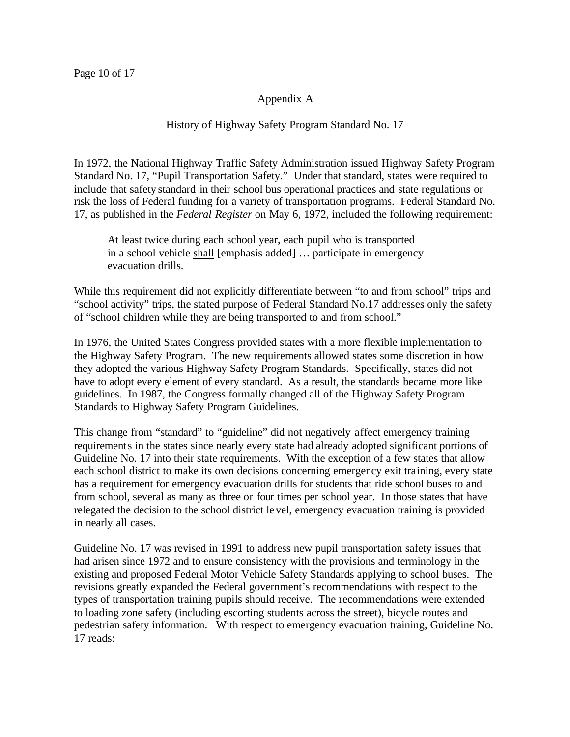### Appendix A

### History of Highway Safety Program Standard No. 17

In 1972, the National Highway Traffic Safety Administration issued Highway Safety Program Standard No. 17, "Pupil Transportation Safety." Under that standard, states were required to include that safety standard in their school bus operational practices and state regulations or risk the loss of Federal funding for a variety of transportation programs. Federal Standard No. 17, as published in the *Federal Register* on May 6, 1972, included the following requirement:

At least twice during each school year, each pupil who is transported in a school vehicle shall [emphasis added] … participate in emergency evacuation drills.

While this requirement did not explicitly differentiate between "to and from school" trips and "school activity" trips, the stated purpose of Federal Standard No.17 addresses only the safety of "school children while they are being transported to and from school."

In 1976, the United States Congress provided states with a more flexible implementation to the Highway Safety Program. The new requirements allowed states some discretion in how they adopted the various Highway Safety Program Standards. Specifically, states did not have to adopt every element of every standard. As a result, the standards became more like guidelines. In 1987, the Congress formally changed all of the Highway Safety Program Standards to Highway Safety Program Guidelines.

This change from "standard" to "guideline" did not negatively affect emergency training requirements in the states since nearly every state had already adopted significant portions of Guideline No. 17 into their state requirements. With the exception of a few states that allow each school district to make its own decisions concerning emergency exit training, every state has a requirement for emergency evacuation drills for students that ride school buses to and from school, several as many as three or four times per school year. In those states that have relegated the decision to the school district level, emergency evacuation training is provided in nearly all cases.

Guideline No. 17 was revised in 1991 to address new pupil transportation safety issues that had arisen since 1972 and to ensure consistency with the provisions and terminology in the existing and proposed Federal Motor Vehicle Safety Standards applying to school buses. The revisions greatly expanded the Federal government's recommendations with respect to the types of transportation training pupils should receive. The recommendations were extended to loading zone safety (including escorting students across the street), bicycle routes and pedestrian safety information. With respect to emergency evacuation training, Guideline No. 17 reads: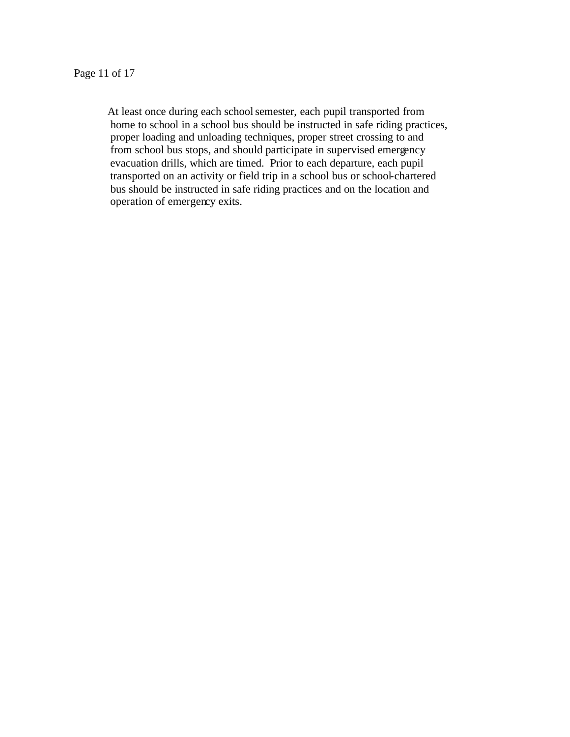At least once during each school semester, each pupil transported from home to school in a school bus should be instructed in safe riding practices, proper loading and unloading techniques, proper street crossing to and from school bus stops, and should participate in supervised emergency evacuation drills, which are timed. Prior to each departure, each pupil transported on an activity or field trip in a school bus or school-chartered bus should be instructed in safe riding practices and on the location and operation of emergency exits.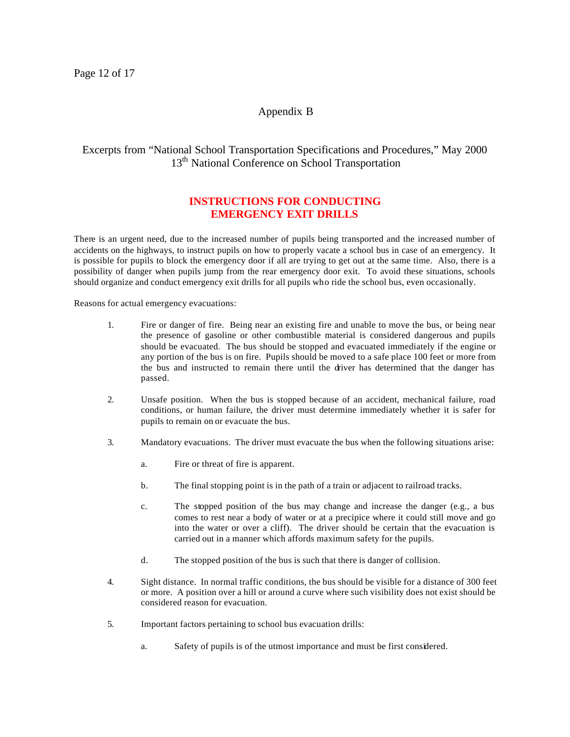### Appendix B

### Excerpts from "National School Transportation Specifications and Procedures," May 2000 13<sup>th</sup> National Conference on School Transportation

#### **INSTRUCTIONS FOR CONDUCTING EMERGENCY EXIT DRILLS**

There is an urgent need, due to the increased number of pupils being transported and the increased number of accidents on the highways, to instruct pupils on how to properly vacate a school bus in case of an emergency. It is possible for pupils to block the emergency door if all are trying to get out at the same time. Also, there is a possibility of danger when pupils jump from the rear emergency door exit. To avoid these situations, schools should organize and conduct emergency exit drills for all pupils who ride the school bus, even occasionally.

Reasons for actual emergency evacuations:

- 1. Fire or danger of fire. Being near an existing fire and unable to move the bus, or being near the presence of gasoline or other combustible material is considered dangerous and pupils should be evacuated. The bus should be stopped and evacuated immediately if the engine or any portion of the bus is on fire. Pupils should be moved to a safe place 100 feet or more from the bus and instructed to remain there until the driver has determined that the danger has passed.
- 2. Unsafe position. When the bus is stopped because of an accident, mechanical failure, road conditions, or human failure, the driver must determine immediately whether it is safer for pupils to remain on or evacuate the bus.
- 3. Mandatory evacuations. The driver must evacuate the bus when the following situations arise:
	- a. Fire or threat of fire is apparent.
	- b. The final stopping point is in the path of a train or adjacent to railroad tracks.
	- c. The stopped position of the bus may change and increase the danger (e.g., a bus comes to rest near a body of water or at a precipice where it could still move and go into the water or over a cliff). The driver should be certain that the evacuation is carried out in a manner which affords maximum safety for the pupils.
	- d. The stopped position of the bus is such that there is danger of collision.
- 4. Sight distance. In normal traffic conditions, the bus should be visible for a distance of 300 feet or more. A position over a hill or around a curve where such visibility does not exist should be considered reason for evacuation.
- 5. Important factors pertaining to school bus evacuation drills:
	- a. Safety of pupils is of the utmost importance and must be first considered.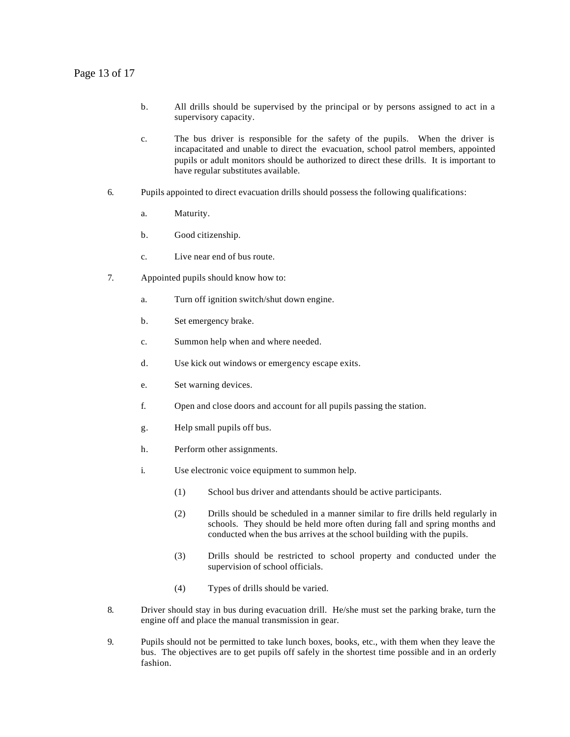- b. All drills should be supervised by the principal or by persons assigned to act in a supervisory capacity.
- c. The bus driver is responsible for the safety of the pupils. When the driver is incapacitated and unable to direct the evacuation, school patrol members, appointed pupils or adult monitors should be authorized to direct these drills. It is important to have regular substitutes available.
- 6. Pupils appointed to direct evacuation drills should possess the following qualifications:
	- a. Maturity.
	- b. Good citizenship.
	- c. Live near end of bus route.
- 7. Appointed pupils should know how to:
	- a. Turn off ignition switch/shut down engine.
	- b. Set emergency brake.
	- c. Summon help when and where needed.
	- d. Use kick out windows or emergency escape exits.
	- e. Set warning devices.
	- f. Open and close doors and account for all pupils passing the station.
	- g. Help small pupils off bus.
	- h. Perform other assignments.
	- i. Use electronic voice equipment to summon help.
		- (1) School bus driver and attendants should be active participants.
		- (2) Drills should be scheduled in a manner similar to fire drills held regularly in schools. They should be held more often during fall and spring months and conducted when the bus arrives at the school building with the pupils.
		- (3) Drills should be restricted to school property and conducted under the supervision of school officials.
		- (4) Types of drills should be varied.
- 8. Driver should stay in bus during evacuation drill. He/she must set the parking brake, turn the engine off and place the manual transmission in gear.
- 9. Pupils should not be permitted to take lunch boxes, books, etc., with them when they leave the bus. The objectives are to get pupils off safely in the shortest time possible and in an orderly fashion.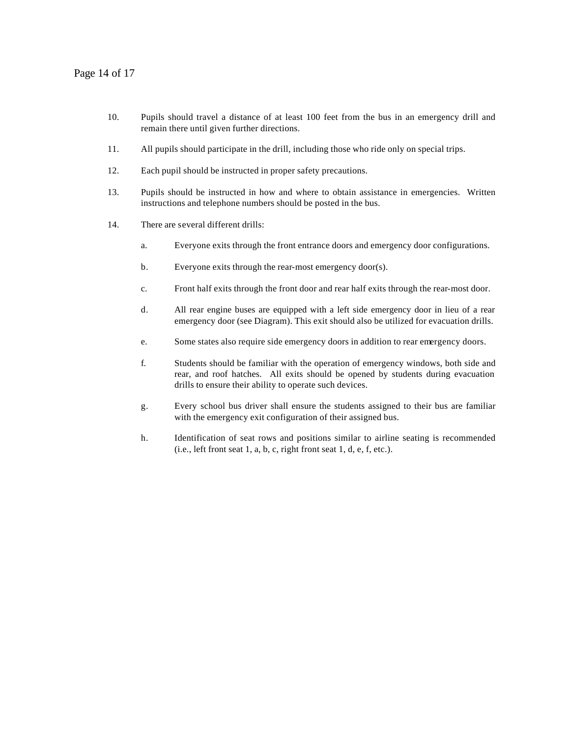#### Page 14 of 17

- 10. Pupils should travel a distance of at least 100 feet from the bus in an emergency drill and remain there until given further directions.
- 11. All pupils should participate in the drill, including those who ride only on special trips.
- 12. Each pupil should be instructed in proper safety precautions.
- 13. Pupils should be instructed in how and where to obtain assistance in emergencies. Written instructions and telephone numbers should be posted in the bus.
- 14. There are several different drills:
	- a. Everyone exits through the front entrance doors and emergency door configurations.
	- b. Everyone exits through the rear-most emergency door(s).
	- c. Front half exits through the front door and rear half exits through the rear-most door.
	- d. All rear engine buses are equipped with a left side emergency door in lieu of a rear emergency door (see Diagram). This exit should also be utilized for evacuation drills.
	- e. Some states also require side emergency doors in addition to rear emergency doors.
	- f. Students should be familiar with the operation of emergency windows, both side and rear, and roof hatches. All exits should be opened by students during evacuation drills to ensure their ability to operate such devices.
	- g. Every school bus driver shall ensure the students assigned to their bus are familiar with the emergency exit configuration of their assigned bus.
	- h. Identification of seat rows and positions similar to airline seating is recommended  $(i.e., left front seat 1, a, b, c, right front seat 1, d, e, f, etc.).$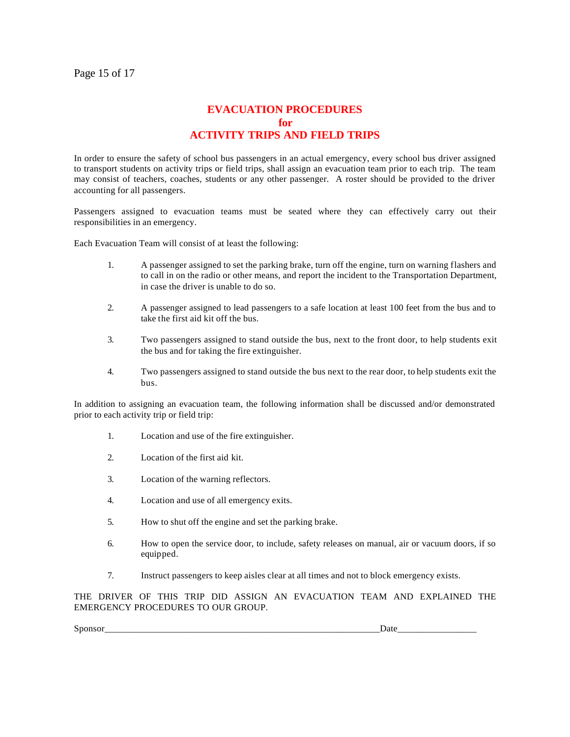# **EVACUATION PROCEDURES for ACTIVITY TRIPS AND FIELD TRIPS**

In order to ensure the safety of school bus passengers in an actual emergency, every school bus driver assigned to transport students on activity trips or field trips, shall assign an evacuation team prior to each trip. The team may consist of teachers, coaches, students or any other passenger. A roster should be provided to the driver accounting for all passengers.

Passengers assigned to evacuation teams must be seated where they can effectively carry out their responsibilities in an emergency.

Each Evacuation Team will consist of at least the following:

- 1. A passenger assigned to set the parking brake, turn off the engine, turn on warning flashers and to call in on the radio or other means, and report the incident to the Transportation Department, in case the driver is unable to do so.
- 2. A passenger assigned to lead passengers to a safe location at least 100 feet from the bus and to take the first aid kit off the bus.
- 3. Two passengers assigned to stand outside the bus, next to the front door, to help students exit the bus and for taking the fire extinguisher.
- 4. Two passengers assigned to stand outside the bus next to the rear door, to help students exit the bus.

In addition to assigning an evacuation team, the following information shall be discussed and/or demonstrated prior to each activity trip or field trip:

- 1. Location and use of the fire extinguisher.
- 2. Location of the first aid kit.
- 3. Location of the warning reflectors.
- 4. Location and use of all emergency exits.
- 5. How to shut off the engine and set the parking brake.
- 6. How to open the service door, to include, safety releases on manual, air or vacuum doors, if so equipped.
- 7. Instruct passengers to keep aisles clear at all times and not to block emergency exists.

THE DRIVER OF THIS TRIP DID ASSIGN AN EVACUATION TEAM AND EXPLAINED THE EMERGENCY PROCEDURES TO OUR GROUP.

Sponsor\_\_\_\_\_\_\_\_\_\_\_\_\_\_\_\_\_\_\_\_\_\_\_\_\_\_\_\_\_\_\_\_\_\_\_\_\_\_\_\_\_\_\_\_\_\_\_\_\_\_\_\_\_\_\_\_\_\_\_Date\_\_\_\_\_\_\_\_\_\_\_\_\_\_\_\_\_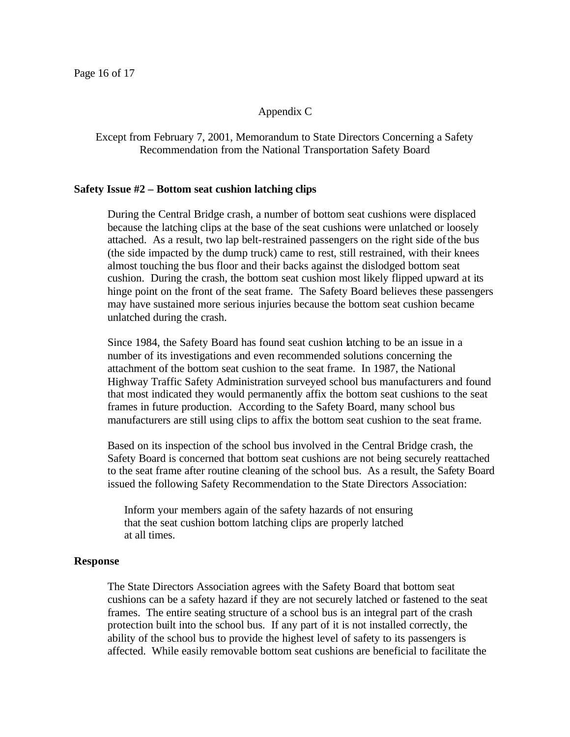#### Appendix C

#### Except from February 7, 2001, Memorandum to State Directors Concerning a Safety Recommendation from the National Transportation Safety Board

#### **Safety Issue #2 – Bottom seat cushion latching clips**

During the Central Bridge crash, a number of bottom seat cushions were displaced because the latching clips at the base of the seat cushions were unlatched or loosely attached. As a result, two lap belt-restrained passengers on the right side of the bus (the side impacted by the dump truck) came to rest, still restrained, with their knees almost touching the bus floor and their backs against the dislodged bottom seat cushion. During the crash, the bottom seat cushion most likely flipped upward at its hinge point on the front of the seat frame. The Safety Board believes these passengers may have sustained more serious injuries because the bottom seat cushion became unlatched during the crash.

Since 1984, the Safety Board has found seat cushion latching to be an issue in a number of its investigations and even recommended solutions concerning the attachment of the bottom seat cushion to the seat frame. In 1987, the National Highway Traffic Safety Administration surveyed school bus manufacturers and found that most indicated they would permanently affix the bottom seat cushions to the seat frames in future production. According to the Safety Board, many school bus manufacturers are still using clips to affix the bottom seat cushion to the seat frame.

Based on its inspection of the school bus involved in the Central Bridge crash, the Safety Board is concerned that bottom seat cushions are not being securely reattached to the seat frame after routine cleaning of the school bus. As a result, the Safety Board issued the following Safety Recommendation to the State Directors Association:

Inform your members again of the safety hazards of not ensuring that the seat cushion bottom latching clips are properly latched at all times.

#### **Response**

The State Directors Association agrees with the Safety Board that bottom seat cushions can be a safety hazard if they are not securely latched or fastened to the seat frames. The entire seating structure of a school bus is an integral part of the crash protection built into the school bus. If any part of it is not installed correctly, the ability of the school bus to provide the highest level of safety to its passengers is affected. While easily removable bottom seat cushions are beneficial to facilitate the